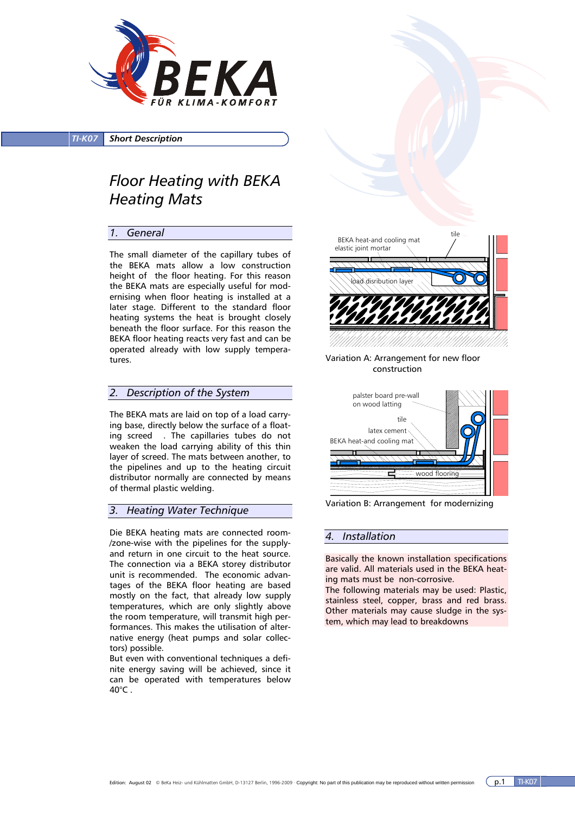

*TI-K07 Short Description*

# *Floor Heating with BEKA Heating Mats*

### *1. General*

The small diameter of the capillary tubes of the BEKA mats allow a low construction height of the floor heating. For this reason the BEKA mats are especially useful for modernising when floor heating is installed at a later stage. Different to the standard floor heating systems the heat is brought closely beneath the floor surface. For this reason the BEKA floor heating reacts very fast and can be operated already with low supply temperatures.

### *2. Description of the System*

The BEKA mats are laid on top of a load carrying base, directly below the surface of a floating screed . The capillaries tubes do not weaken the load carrying ability of this thin layer of screed. The mats between another, to the pipelines and up to the heating circuit distributor normally are connected by means of thermal plastic welding.

### *3. Heating Water Technique*

Die BEKA heating mats are connected room- /zone-wise with the pipelines for the supplyand return in one circuit to the heat source. The connection via a BEKA storey distributor unit is recommended. The economic advantages of the BEKA floor heating are based mostly on the fact, that already low supply temperatures, which are only slightly above the room temperature, will transmit high performances. This makes the utilisation of alternative energy (heat pumps and solar collectors) possible.

But even with conventional techniques a definite energy saving will be achieved, since it can be operated with temperatures below  $40^{\circ}$ C.



Variation A: Arrangement for new floor construction



Variation B: Arrangement for modernizing

#### *4. Installation*

Basically the known installation specifications are valid. All materials used in the BEKA heating mats must be non-corrosive.

The following materials may be used: Plastic, stainless steel, copper, brass and red brass. Other materials may cause sludge in the system, which may lead to breakdowns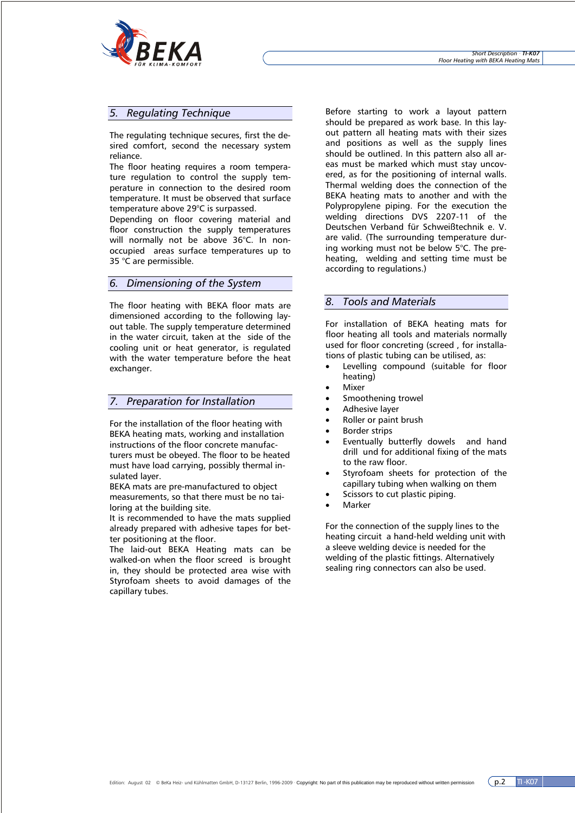

### *5. Regulating Technique*

The regulating technique secures, first the desired comfort, second the necessary system reliance.

The floor heating requires a room temperature regulation to control the supply temperature in connection to the desired room temperature. It must be observed that surface temperature above 29°C is surpassed.

Depending on floor covering material and floor construction the supply temperatures will normally not be above 36°C. In nonoccupied areas surface temperatures up to 35 °C are permissible.

### *6. Dimensioning of the System*

The floor heating with BEKA floor mats are dimensioned according to the following layout table. The supply temperature determined in the water circuit, taken at the side of the cooling unit or heat generator, is regulated with the water temperature before the heat exchanger.

### *7. Preparation for Installation*

For the installation of the floor heating with BEKA heating mats, working and installation instructions of the floor concrete manufacturers must be obeyed. The floor to be heated must have load carrying, possibly thermal insulated layer.

BEKA mats are pre-manufactured to object measurements, so that there must be no tailoring at the building site.

It is recommended to have the mats supplied already prepared with adhesive tapes for better positioning at the floor.

The laid-out BEKA Heating mats can be walked-on when the floor screed is brought in, they should be protected area wise with Styrofoam sheets to avoid damages of the capillary tubes.

Before starting to work a layout pattern should be prepared as work base. In this layout pattern all heating mats with their sizes and positions as well as the supply lines should be outlined. In this pattern also all areas must be marked which must stay uncovered, as for the positioning of internal walls. Thermal welding does the connection of the BEKA heating mats to another and with the Polypropylene piping. For the execution the welding directions DVS 2207-11 of the Deutschen Verband für Schweißtechnik e. V. are valid. (The surrounding temperature during working must not be below 5°C. The preheating, welding and setting time must be according to regulations.)

### *8. Tools and Materials*

For installation of BEKA heating mats for floor heating all tools and materials normally used for floor concreting (screed , for installations of plastic tubing can be utilised, as:

- Levelling compound (suitable for floor heating)
- **Mixer**
- Smoothening trowel
- Adhesive layer
- Roller or paint brush
- **Border strips**
- Eventually butterfly dowels and hand drill und for additional fixing of the mats to the raw floor.
- Styrofoam sheets for protection of the capillary tubing when walking on them
- Scissors to cut plastic piping.
- **Marker**

For the connection of the supply lines to the heating circuit a hand-held welding unit with a sleeve welding device is needed for the welding of the plastic fittings. Alternatively sealing ring connectors can also be used.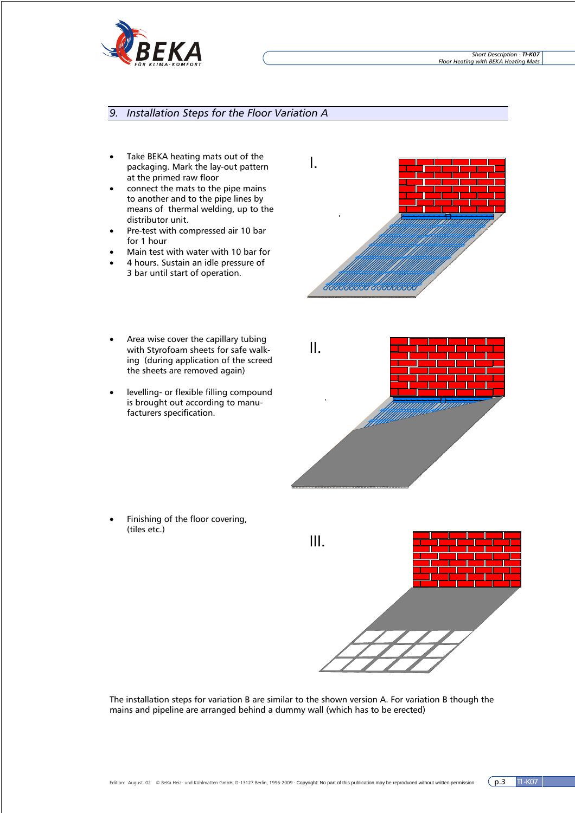

### *9. Installation Steps for the Floor Variation A*

- Take BEKA heating mats out of the packaging. Mark the lay-out pattern at the primed raw floor
- connect the mats to the pipe mains to another and to the pipe lines by means of thermal welding, up to the distributor unit.
- Pre-test with compressed air 10 bar for 1 hour
- Main test with water with 10 bar for
- 4 hours. Sustain an idle pressure of 3 bar until start of operation.
- Area wise cover the capillary tubing with Styrofoam sheets for safe walking (during application of the screed the sheets are removed again)
- levelling- or flexible filling compound is brought out according to manufacturers specification.

Finishing of the floor covering, (tiles etc.)







The installation steps for variation B are similar to the shown version A. For variation B though the mains and pipeline are arranged behind a dummy wall (which has to be erected)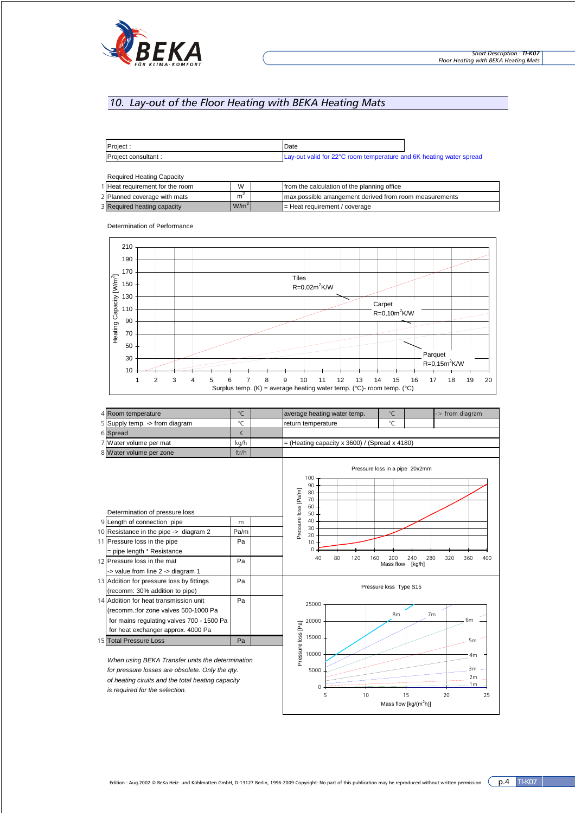

## *10. Lay-out of the Floor Heating with BEKA Heating Mats*

| Project:            | Date                                                                |  |
|---------------------|---------------------------------------------------------------------|--|
| Project consultant: | Lay-out valid for 22°C room temperature and 6K heating water spread |  |

| <b>Required Heating Capacity</b> |                  |  |                                                         |  |
|----------------------------------|------------------|--|---------------------------------------------------------|--|
| 1 Heat requirement for the room  | W                |  | from the calculation of the planning office             |  |
| 2 Planned coverage with mats     | m <sup>2</sup>   |  | max.possible arrangement derived from room measurements |  |
| 3 Required heating capacity      | W/m <sup>2</sup> |  | $\blacktriangleright$ Heat requirement / coverage       |  |

Determination of Performance



|                                                  | 4 Room temperature                                                                                                                                                | $^{\circ}$ C                      | $^{\circ}$ C<br>average heating water temp.<br>-> from diagram                              |  |  |
|--------------------------------------------------|-------------------------------------------------------------------------------------------------------------------------------------------------------------------|-----------------------------------|---------------------------------------------------------------------------------------------|--|--|
|                                                  | 5 Supply temp. -> from diagram                                                                                                                                    | $^{\circ}$ C                      | $^{\circ}$ C<br>return temperature                                                          |  |  |
|                                                  | 6 Spread                                                                                                                                                          | K                                 |                                                                                             |  |  |
|                                                  | 7 Water volume per mat                                                                                                                                            | kg/h                              | $=$ (Heating capacity x 3600) / (Spread x 4180)                                             |  |  |
|                                                  | 8 Water volume per zone                                                                                                                                           | ltr/h                             |                                                                                             |  |  |
|                                                  | Determination of pressure loss                                                                                                                                    |                                   | Pressure loss in a pipe 20x2mm<br>100<br>90<br>Pressure loss [Pa/m]<br>80<br>70<br>60<br>50 |  |  |
|                                                  | 9 Length of connection pipe                                                                                                                                       | m                                 | 40                                                                                          |  |  |
|                                                  | 10 Resistance in the pipe -> diagram 2                                                                                                                            | Pa/m                              | 30                                                                                          |  |  |
|                                                  | 11 Pressure loss in the pipe<br>= pipe length * Resistance                                                                                                        | Pa                                | 20<br>10<br>O                                                                               |  |  |
|                                                  | 12 Pressure loss in the mat<br>-> value from line 2 -> diagram 1                                                                                                  | Pa                                | 40<br>80<br>120<br>240<br>280<br>320<br>360<br>400<br>160<br>200<br>Mass flow<br>[kq/h]     |  |  |
|                                                  | 13 Addition for pressure loss by fittings<br>(recomm: 30% addition to pipe)                                                                                       | Pa                                | Pressure loss Type S15                                                                      |  |  |
|                                                  | 14 Addition for heat transmission unit<br>(recomm.:for zone valves 500-1000 Pa<br>for mains regulating valves 700 - 1500 Pa<br>for heat exchanger approx. 4000 Pa | Pa                                | 25000<br>8 <sub>m</sub><br>7 <sub>m</sub><br>6m<br>20000                                    |  |  |
|                                                  | 15 Total Pressure Loss                                                                                                                                            | Pa                                | 15000<br>5 <sub>m</sub>                                                                     |  |  |
| When using BEKA Transfer units the determination |                                                                                                                                                                   | Pressure loss [Pa]<br>10000<br>4m |                                                                                             |  |  |

*When using BEKA Transfer units the determination for pressure losses are obsolete. Only the qty. of heating ciruits and the total heating capacity is required for the selection.*



5 10 15 20 25 Mass flow  $[kg/(m^2h)]$ 

 $\theta$ 5000

3m 2m 1m

 $\exists$